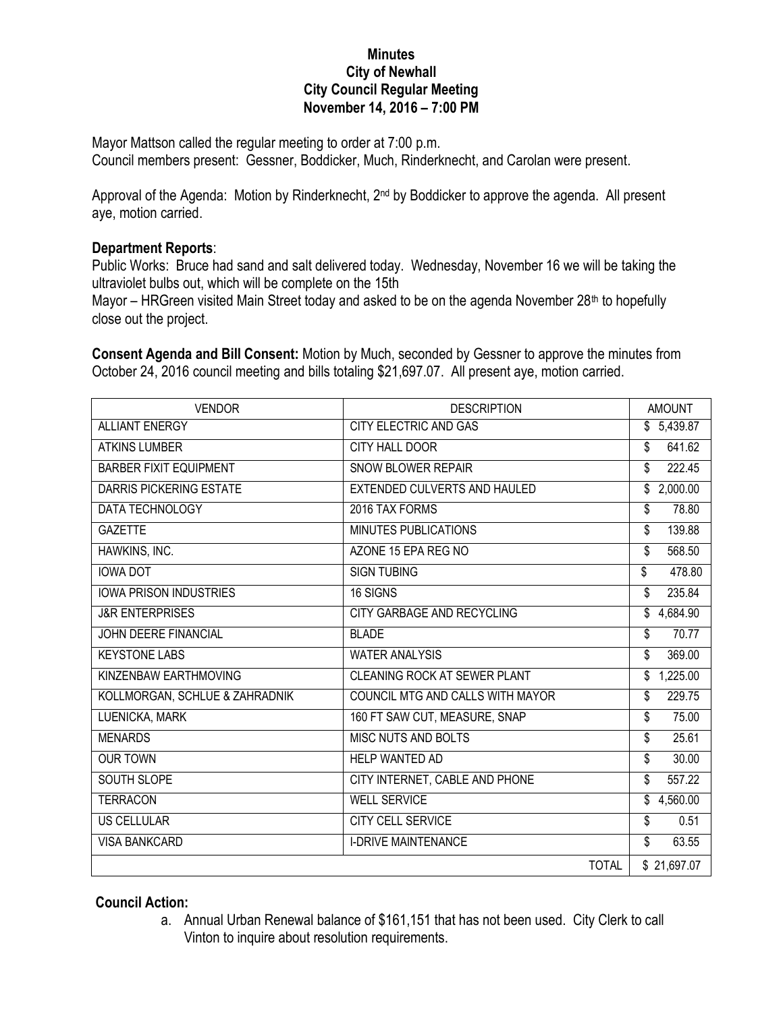## **Minutes City of Newhall City Council Regular Meeting November 14, 2016 – 7:00 PM**

Mayor Mattson called the regular meeting to order at 7:00 p.m. Council members present: Gessner, Boddicker, Much, Rinderknecht, and Carolan were present.

Approval of the Agenda: Motion by Rinderknecht, 2<sup>nd</sup> by Boddicker to approve the agenda. All present aye, motion carried.

## **Department Reports**:

Public Works: Bruce had sand and salt delivered today. Wednesday, November 16 we will be taking the ultraviolet bulbs out, which will be complete on the 15th

Mayor – HRGreen visited Main Street today and asked to be on the agenda November 28<sup>th</sup> to hopefully close out the project.

**Consent Agenda and Bill Consent:** Motion by Much, seconded by Gessner to approve the minutes from October 24, 2016 council meeting and bills totaling \$21,697.07. All present aye, motion carried.

| <b>VENDOR</b>                  | <b>DESCRIPTION</b>                  | <b>AMOUNT</b> |
|--------------------------------|-------------------------------------|---------------|
| <b>ALLIANT ENERGY</b>          | CITY ELECTRIC AND GAS               | \$5,439.87    |
| <b>ATKINS LUMBER</b>           | <b>CITY HALL DOOR</b>               | 641.62<br>\$  |
| <b>BARBER FIXIT EQUIPMENT</b>  | <b>SNOW BLOWER REPAIR</b>           | 222.45<br>\$  |
| <b>DARRIS PICKERING ESTATE</b> | EXTENDED CULVERTS AND HAULED        | \$2,000.00    |
| <b>DATA TECHNOLOGY</b>         | 2016 TAX FORMS                      | 78.80<br>\$   |
| <b>GAZETTE</b>                 | MINUTES PUBLICATIONS                | 139.88<br>\$  |
| HAWKINS, INC.                  | AZONE 15 EPA REG NO                 | 568.50<br>\$  |
| <b>IOWA DOT</b>                | <b>SIGN TUBING</b>                  | \$<br>478.80  |
| <b>IOWA PRISON INDUSTRIES</b>  | 16 SIGNS                            | 235.84<br>\$  |
| <b>J&amp;R ENTERPRISES</b>     | <b>CITY GARBAGE AND RECYCLING</b>   | \$4,684.90    |
| <b>JOHN DEERE FINANCIAL</b>    | <b>BLADE</b>                        | \$<br>70.77   |
| <b>KEYSTONE LABS</b>           | <b>WATER ANALYSIS</b>               | 369.00<br>\$  |
| KINZENBAW EARTHMOVING          | <b>CLEANING ROCK AT SEWER PLANT</b> | \$1,225.00    |
| KOLLMORGAN, SCHLUE & ZAHRADNIK | COUNCIL MTG AND CALLS WITH MAYOR    | 229.75<br>\$  |
| LUENICKA, MARK                 | 160 FT SAW CUT, MEASURE, SNAP       | \$<br>75.00   |
| <b>MENARDS</b>                 | <b>MISC NUTS AND BOLTS</b>          | 25.61<br>\$   |
| <b>OUR TOWN</b>                | HELP WANTED AD                      | \$<br>30.00   |
| <b>SOUTH SLOPE</b>             | CITY INTERNET, CABLE AND PHONE      | 557.22<br>\$  |
| <b>TERRACON</b>                | <b>WELL SERVICE</b>                 | \$4,560.00    |
| <b>US CELLULAR</b>             | <b>CITY CELL SERVICE</b>            | \$<br>0.51    |
| <b>VISA BANKCARD</b>           | <b>I-DRIVE MAINTENANCE</b>          | \$<br>63.55   |
|                                | <b>TOTAL</b>                        | \$21,697.07   |

## **Council Action:**

a. Annual Urban Renewal balance of \$161,151 that has not been used. City Clerk to call Vinton to inquire about resolution requirements.